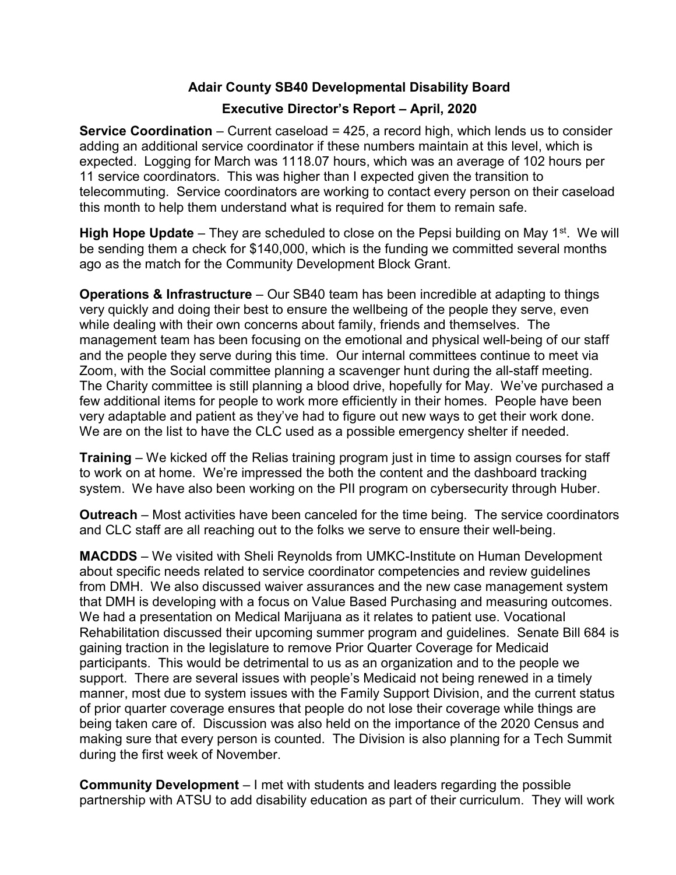## Adair County SB40 Developmental Disability Board

## Executive Director's Report – April, 2020

**Service Coordination** – Current caseload =  $425$ , a record high, which lends us to consider adding an additional service coordinator if these numbers maintain at this level, which is expected. Logging for March was 1118.07 hours, which was an average of 102 hours per 11 service coordinators. This was higher than I expected given the transition to telecommuting. Service coordinators are working to contact every person on their caseload this month to help them understand what is required for them to remain safe.

**High Hope Update** – They are scheduled to close on the Pepsi building on May 1<sup>st</sup>. We will be sending them a check for \$140,000, which is the funding we committed several months ago as the match for the Community Development Block Grant.

**Operations & Infrastructure** – Our SB40 team has been incredible at adapting to things very quickly and doing their best to ensure the wellbeing of the people they serve, even while dealing with their own concerns about family, friends and themselves. The management team has been focusing on the emotional and physical well-being of our staff and the people they serve during this time. Our internal committees continue to meet via Zoom, with the Social committee planning a scavenger hunt during the all-staff meeting. The Charity committee is still planning a blood drive, hopefully for May. We've purchased a few additional items for people to work more efficiently in their homes. People have been very adaptable and patient as they've had to figure out new ways to get their work done. We are on the list to have the CLC used as a possible emergency shelter if needed.

**Training** – We kicked off the Relias training program just in time to assign courses for staff to work on at home. We're impressed the both the content and the dashboard tracking system. We have also been working on the PII program on cybersecurity through Huber.

Outreach – Most activities have been canceled for the time being. The service coordinators and CLC staff are all reaching out to the folks we serve to ensure their well-being.

MACDDS – We visited with Sheli Reynolds from UMKC-Institute on Human Development about specific needs related to service coordinator competencies and review guidelines from DMH. We also discussed waiver assurances and the new case management system that DMH is developing with a focus on Value Based Purchasing and measuring outcomes. We had a presentation on Medical Marijuana as it relates to patient use. Vocational Rehabilitation discussed their upcoming summer program and guidelines. Senate Bill 684 is gaining traction in the legislature to remove Prior Quarter Coverage for Medicaid participants. This would be detrimental to us as an organization and to the people we support. There are several issues with people's Medicaid not being renewed in a timely manner, most due to system issues with the Family Support Division, and the current status of prior quarter coverage ensures that people do not lose their coverage while things are being taken care of. Discussion was also held on the importance of the 2020 Census and making sure that every person is counted. The Division is also planning for a Tech Summit during the first week of November.

Community Development – I met with students and leaders regarding the possible partnership with ATSU to add disability education as part of their curriculum. They will work